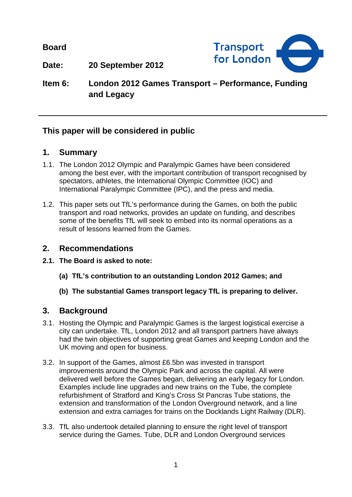**Board**



**Date: 20 September 2012**

**Item 6: London 2012 Games Transport – Performance, Funding and Legacy**

# **This paper will be considered in public**

## **1. Summary**

- 1.1. The London 2012 Olympic and Paralympic Games have been considered among the best ever, with the important contribution of transport recognised by spectators, athletes, the International Olympic Committee (IOC) and International Paralympic Committee (IPC), and the press and media.
- 1.2. This paper sets out TfL's performance during the Games, on both the public transport and road networks, provides an update on funding, and describes some of the benefits TfL will seek to embed into its normal operations as a result of lessons learned from the Games.

## **2. Recommendations**

- **2.1. The Board is asked to note:**
	- **(a) TfL's contribution to an outstanding London 2012 Games; and**
	- **(b) The substantial Games transport legacy TfL is preparing to deliver.**

## **3. Background**

- 3.1. Hosting the Olympic and Paralympic Games is the largest logistical exercise a city can undertake. TfL, London 2012 and all transport partners have always had the twin objectives of supporting great Games and keeping London and the UK moving and open for business.
- 3.2. In support of the Games, almost £6.5bn was invested in transport improvements around the Olympic Park and across the capital. All were delivered well before the Games began, delivering an early legacy for London. Examples include line upgrades and new trains on the Tube, the complete refurbishment of Stratford and King's Cross St Pancras Tube stations, the extension and transformation of the London Overground network, and a line extension and extra carriages for trains on the Docklands Light Railway (DLR).
- 3.3. TfL also undertook detailed planning to ensure the right level of transport service during the Games. Tube, DLR and London Overground services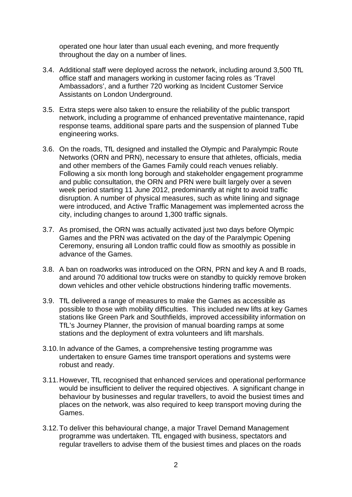operated one hour later than usual each evening, and more frequently throughout the day on a number of lines.

- 3.4. Additional staff were deployed across the network, including around 3,500 TfL office staff and managers working in customer facing roles as 'Travel Ambassadors', and a further 720 working as Incident Customer Service Assistants on London Underground.
- 3.5. Extra steps were also taken to ensure the reliability of the public transport network, including a programme of enhanced preventative maintenance, rapid response teams, additional spare parts and the suspension of planned Tube engineering works.
- 3.6. On the roads, TfL designed and installed the Olympic and Paralympic Route Networks (ORN and PRN), necessary to ensure that athletes, officials, media and other members of the Games Family could reach venues reliably. Following a six month long borough and stakeholder engagement programme and public consultation, the ORN and PRN were built largely over a seven week period starting 11 June 2012, predominantly at night to avoid traffic disruption. A number of physical measures, such as white lining and signage were introduced, and Active Traffic Management was implemented across the city, including changes to around 1,300 traffic signals.
- 3.7. As promised, the ORN was actually activated just two days before Olympic Games and the PRN was activated on the day of the Paralympic Opening Ceremony, ensuring all London traffic could flow as smoothly as possible in advance of the Games.
- 3.8. A ban on roadworks was introduced on the ORN, PRN and key A and B roads, and around 70 additional tow trucks were on standby to quickly remove broken down vehicles and other vehicle obstructions hindering traffic movements.
- 3.9. TfL delivered a range of measures to make the Games as accessible as possible to those with mobility difficulties. This included new lifts at key Games stations like Green Park and Southfields, improved accessibility information on TfL's Journey Planner, the provision of manual boarding ramps at some stations and the deployment of extra volunteers and lift marshals.
- 3.10.In advance of the Games, a comprehensive testing programme was undertaken to ensure Games time transport operations and systems were robust and ready.
- 3.11.However, TfL recognised that enhanced services and operational performance would be insufficient to deliver the required objectives. A significant change in behaviour by businesses and regular travellers, to avoid the busiest times and places on the network, was also required to keep transport moving during the Games.
- 3.12.To deliver this behavioural change, a major Travel Demand Management programme was undertaken. TfL engaged with business, spectators and regular travellers to advise them of the busiest times and places on the roads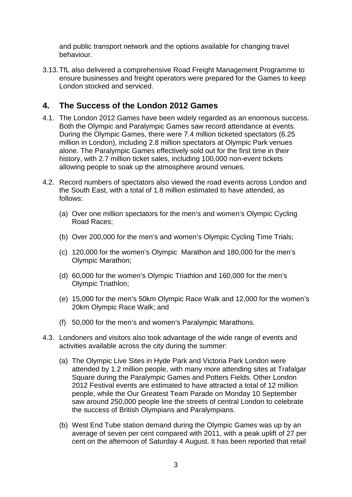and public transport network and the options available for changing travel behaviour.

3.13.TfL also delivered a comprehensive Road Freight Management Programme to ensure businesses and freight operators were prepared for the Games to keep London stocked and serviced.

## **4. The Success of the London 2012 Games**

- 4.1. The London 2012 Games have been widely regarded as an enormous success. Both the Olympic and Paralympic Games saw record attendance at events. During the Olympic Games, there were 7.4 million ticketed spectators (6.25 million in London), including 2.8 million spectators at Olympic Park venues alone. The Paralympic Games effectively sold out for the first time in their history, with 2.7 million ticket sales, including 100,000 non-event tickets allowing people to soak up the atmosphere around venues.
- 4.2. Record numbers of spectators also viewed the road events across London and the South East, with a total of 1.8 million estimated to have attended, as follows:
	- (a) Over one million spectators for the men's and women's Olympic Cycling Road Races;
	- (b) Over 200,000 for the men's and women's Olympic Cycling Time Trials;
	- (c) 120,000 for the women's Olympic Marathon and 180,000 for the men's Olympic Marathon;
	- (d) 60,000 for the women's Olympic Triathlon and 160,000 for the men's Olympic Triathlon;
	- (e) 15,000 for the men's 50km Olympic Race Walk and 12,000 for the women's 20km Olympic Race Walk; and
	- (f) 50,000 for the men's and women's Paralympic Marathons.
- 4.3. Londoners and visitors also took advantage of the wide range of events and activities available across the city during the summer:
	- (a) The Olympic Live Sites in Hyde Park and Victoria Park London were attended by 1.2 million people, with many more attending sites at Trafalgar Square during the Paralympic Games and Potters Fields. Other London 2012 Festival events are estimated to have attracted a total of 12 million people, while the Our Greatest Team Parade on Monday 10 September saw around 250,000 people line the streets of central London to celebrate the success of British Olympians and Paralympians.
	- (b) West End Tube station demand during the Olympic Games was up by an average of seven per cent compared with 2011, with a peak uplift of 27 per cent on the afternoon of Saturday 4 August. It has been reported that retail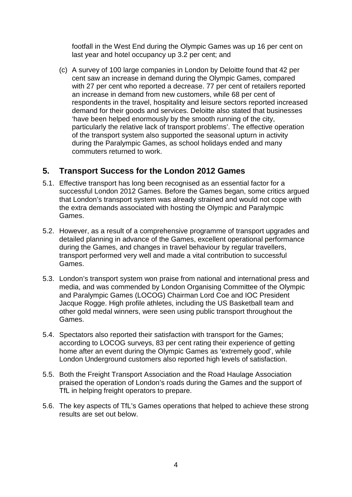footfall in the West End during the Olympic Games was up 16 per cent on last year and hotel occupancy up 3.2 per cent; and

(c) A survey of 100 large companies in London by Deloitte found that 42 per cent saw an increase in demand during the Olympic Games, compared with 27 per cent who reported a decrease. 77 per cent of retailers reported an increase in demand from new customers, while 68 per cent of respondents in the travel, hospitality and leisure sectors reported increased demand for their goods and services. Deloitte also stated that businesses 'have been helped enormously by the smooth running of the city, particularly the relative lack of transport problems'. The effective operation of the transport system also supported the seasonal upturn in activity during the Paralympic Games, as school holidays ended and many commuters returned to work.

## **5. Transport Success for the London 2012 Games**

- 5.1. Effective transport has long been recognised as an essential factor for a successful London 2012 Games. Before the Games began, some critics argued that London's transport system was already strained and would not cope with the extra demands associated with hosting the Olympic and Paralympic Games.
- 5.2. However, as a result of a comprehensive programme of transport upgrades and detailed planning in advance of the Games, excellent operational performance during the Games, and changes in travel behaviour by regular travellers, transport performed very well and made a vital contribution to successful Games.
- 5.3. London's transport system won praise from national and international press and media, and was commended by London Organising Committee of the Olympic and Paralympic Games (LOCOG) Chairman Lord Coe and IOC President Jacque Rogge. High profile athletes, including the US Basketball team and other gold medal winners, were seen using public transport throughout the Games.
- 5.4. Spectators also reported their satisfaction with transport for the Games; according to LOCOG surveys, 83 per cent rating their experience of getting home after an event during the Olympic Games as 'extremely good', while London Underground customers also reported high levels of satisfaction.
- 5.5. Both the Freight Transport Association and the Road Haulage Association praised the operation of London's roads during the Games and the support of TfL in helping freight operators to prepare.
- 5.6. The key aspects of TfL's Games operations that helped to achieve these strong results are set out below.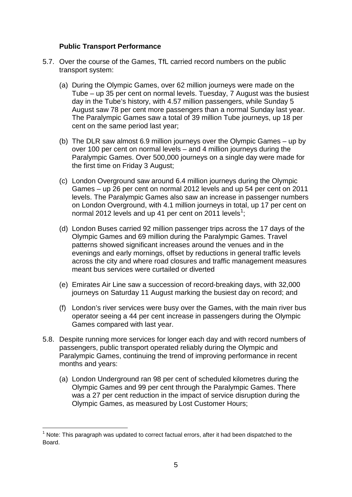#### **Public Transport Performance**

- 5.7. Over the course of the Games, TfL carried record numbers on the public transport system:
	- (a) During the Olympic Games, over 62 million journeys were made on the Tube – up 35 per cent on normal levels. Tuesday, 7 August was the busiest day in the Tube's history, with 4.57 million passengers, while Sunday 5 August saw 78 per cent more passengers than a normal Sunday last year. The Paralympic Games saw a total of 39 million Tube journeys, up 18 per cent on the same period last year;
	- (b) The DLR saw almost 6.9 million journeys over the Olympic Games up by over 100 per cent on normal levels – and 4 million journeys during the Paralympic Games. Over 500,000 journeys on a single day were made for the first time on Friday 3 August;
	- (c) London Overground saw around 6.4 million journeys during the Olympic Games – up 26 per cent on normal 2012 levels and up 54 per cent on 2011 levels. The Paralympic Games also saw an increase in passenger numbers on London Overground, with 4.1 million journeys in total, up 17 per cent on normal 20[1](#page-4-0)2 levels and up 41 per cent on 2011 levels<sup>1</sup>;
	- (d) London Buses carried 92 million passenger trips across the 17 days of the Olympic Games and 69 million during the Paralympic Games. Travel patterns showed significant increases around the venues and in the evenings and early mornings, offset by reductions in general traffic levels across the city and where road closures and traffic management measures meant bus services were curtailed or diverted
	- (e) Emirates Air Line saw a succession of record-breaking days, with 32,000 journeys on Saturday 11 August marking the busiest day on record; and
	- (f) London's river services were busy over the Games, with the main river bus operator seeing a 44 per cent increase in passengers during the Olympic Games compared with last year.
- 5.8. Despite running more services for longer each day and with record numbers of passengers, public transport operated reliably during the Olympic and Paralympic Games, continuing the trend of improving performance in recent months and years:
	- (a) London Underground ran 98 per cent of scheduled kilometres during the Olympic Games and 99 per cent through the Paralympic Games. There was a 27 per cent reduction in the impact of service disruption during the Olympic Games, as measured by Lost Customer Hours;

<u>.</u>

<span id="page-4-0"></span> $1$  Note: This paragraph was updated to correct factual errors, after it had been dispatched to the Board.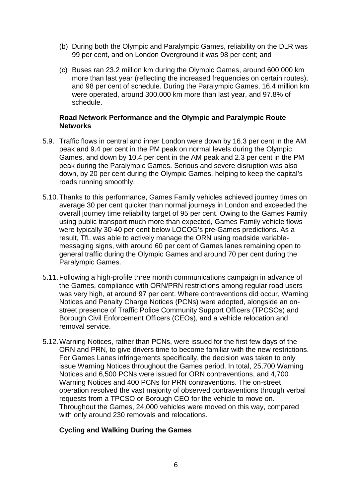- (b) During both the Olympic and Paralympic Games, reliability on the DLR was 99 per cent, and on London Overground it was 98 per cent; and
- (c) Buses ran 23.2 million km during the Olympic Games, around 600,000 km more than last year (reflecting the increased frequencies on certain routes), and 98 per cent of schedule. During the Paralympic Games, 16.4 million km were operated, around 300,000 km more than last year, and 97.8% of schedule.

#### **Road Network Performance and the Olympic and Paralympic Route Networks**

- 5.9. Traffic flows in central and inner London were down by 16.3 per cent in the AM peak and 9.4 per cent in the PM peak on normal levels during the Olympic Games, and down by 10.4 per cent in the AM peak and 2.3 per cent in the PM peak during the Paralympic Games. Serious and severe disruption was also down, by 20 per cent during the Olympic Games, helping to keep the capital's roads running smoothly.
- 5.10.Thanks to this performance, Games Family vehicles achieved journey times on average 30 per cent quicker than normal journeys in London and exceeded the overall journey time reliability target of 95 per cent. Owing to the Games Family using public transport much more than expected, Games Family vehicle flows were typically 30-40 per cent below LOCOG's pre-Games predictions. As a result, TfL was able to actively manage the ORN using roadside variablemessaging signs, with around 60 per cent of Games lanes remaining open to general traffic during the Olympic Games and around 70 per cent during the Paralympic Games.
- 5.11.Following a high-profile three month communications campaign in advance of the Games, compliance with ORN/PRN restrictions among regular road users was very high, at around 97 per cent. Where contraventions did occur, Warning Notices and Penalty Charge Notices (PCNs) were adopted, alongside an onstreet presence of Traffic Police Community Support Officers (TPCSOs) and Borough Civil Enforcement Officers (CEOs), and a vehicle relocation and removal service.
- 5.12.Warning Notices, rather than PCNs, were issued for the first few days of the ORN and PRN, to give drivers time to become familiar with the new restrictions. For Games Lanes infringements specifically, the decision was taken to only issue Warning Notices throughout the Games period. In total, 25,700 Warning Notices and 6,500 PCNs were issued for ORN contraventions, and 4,700 Warning Notices and 400 PCNs for PRN contraventions. The on-street operation resolved the vast majority of observed contraventions through verbal requests from a TPCSO or Borough CEO for the vehicle to move on. Throughout the Games, 24,000 vehicles were moved on this way, compared with only around 230 removals and relocations.

#### **Cycling and Walking During the Games**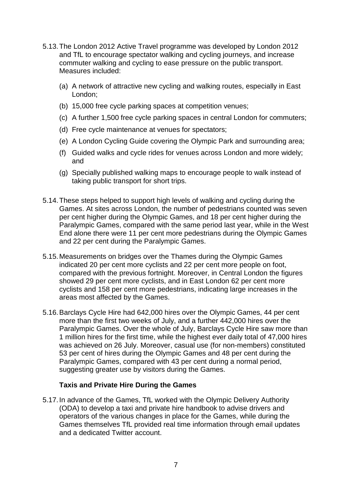- 5.13.The London 2012 Active Travel programme was developed by London 2012 and TfL to encourage spectator walking and cycling journeys, and increase commuter walking and cycling to ease pressure on the public transport. Measures included:
	- (a) A network of attractive new cycling and walking routes, especially in East London;
	- (b) 15,000 free cycle parking spaces at competition venues;
	- (c) A further 1,500 free cycle parking spaces in central London for commuters;
	- (d) Free cycle maintenance at venues for spectators;
	- (e) A London Cycling Guide covering the Olympic Park and surrounding area;
	- (f) Guided walks and cycle rides for venues across London and more widely; and
	- (g) Specially published walking maps to encourage people to walk instead of taking public transport for short trips.
- 5.14.These steps helped to support high levels of walking and cycling during the Games. At sites across London, the number of pedestrians counted was seven per cent higher during the Olympic Games, and 18 per cent higher during the Paralympic Games, compared with the same period last year, while in the West End alone there were 11 per cent more pedestrians during the Olympic Games and 22 per cent during the Paralympic Games.
- 5.15.Measurements on bridges over the Thames during the Olympic Games indicated 20 per cent more cyclists and 22 per cent more people on foot, compared with the previous fortnight. Moreover, in Central London the figures showed 29 per cent more cyclists, and in East London 62 per cent more cyclists and 158 per cent more pedestrians, indicating large increases in the areas most affected by the Games.
- 5.16.Barclays Cycle Hire had 642,000 hires over the Olympic Games, 44 per cent more than the first two weeks of July, and a further 442,000 hires over the Paralympic Games. Over the whole of July, Barclays Cycle Hire saw more than 1 million hires for the first time, while the highest ever daily total of 47,000 hires was achieved on 26 July. Moreover, casual use (for non-members) constituted 53 per cent of hires during the Olympic Games and 48 per cent during the Paralympic Games, compared with 43 per cent during a normal period, suggesting greater use by visitors during the Games.

#### **Taxis and Private Hire During the Games**

5.17.In advance of the Games, TfL worked with the Olympic Delivery Authority (ODA) to develop a taxi and private hire handbook to advise drivers and operators of the various changes in place for the Games, while during the Games themselves TfL provided real time information through email updates and a dedicated Twitter account.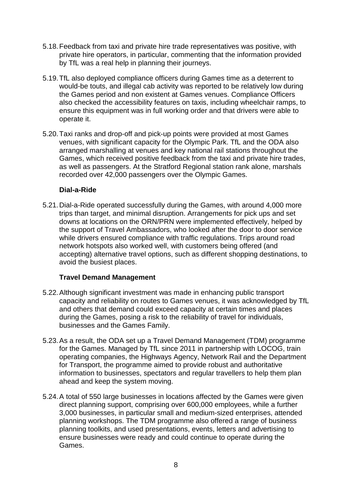- 5.18.Feedback from taxi and private hire trade representatives was positive, with private hire operators, in particular, commenting that the information provided by TfL was a real help in planning their journeys.
- 5.19.TfL also deployed compliance officers during Games time as a deterrent to would-be touts, and illegal cab activity was reported to be relatively low during the Games period and non existent at Games venues. Compliance Officers also checked the accessibility features on taxis, including wheelchair ramps, to ensure this equipment was in full working order and that drivers were able to operate it.
- 5.20.Taxi ranks and drop-off and pick-up points were provided at most Games venues, with significant capacity for the Olympic Park. TfL and the ODA also arranged marshalling at venues and key national rail stations throughout the Games, which received positive feedback from the taxi and private hire trades, as well as passengers. At the Stratford Regional station rank alone, marshals recorded over 42,000 passengers over the Olympic Games.

#### **Dial-a-Ride**

5.21.Dial-a-Ride operated successfully during the Games, with around 4,000 more trips than target, and minimal disruption. Arrangements for pick ups and set downs at locations on the ORN/PRN were implemented effectively, helped by the support of Travel Ambassadors, who looked after the door to door service while drivers ensured compliance with traffic regulations. Trips around road network hotspots also worked well, with customers being offered (and accepting) alternative travel options, such as different shopping destinations, to avoid the busiest places.

#### **Travel Demand Management**

- 5.22.Although significant investment was made in enhancing public transport capacity and reliability on routes to Games venues, it was acknowledged by TfL and others that demand could exceed capacity at certain times and places during the Games, posing a risk to the reliability of travel for individuals, businesses and the Games Family.
- 5.23.As a result, the ODA set up a Travel Demand Management (TDM) programme for the Games. Managed by TfL since 2011 in partnership with LOCOG, train operating companies, the Highways Agency, Network Rail and the Department for Transport, the programme aimed to provide robust and authoritative information to businesses, spectators and regular travellers to help them plan ahead and keep the system moving.
- 5.24.A total of 550 large businesses in locations affected by the Games were given direct planning support, comprising over 600,000 employees, while a further 3,000 businesses, in particular small and medium-sized enterprises, attended planning workshops. The TDM programme also offered a range of business planning toolkits, and used presentations, events, letters and advertising to ensure businesses were ready and could continue to operate during the Games.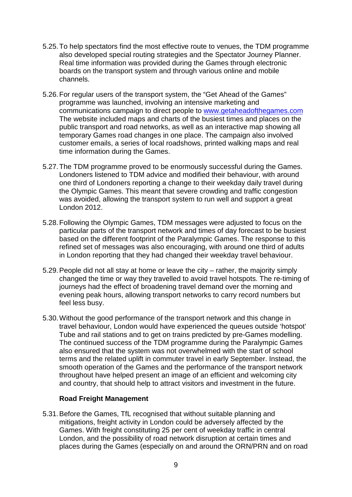- 5.25.To help spectators find the most effective route to venues, the TDM programme also developed special routing strategies and the Spectator Journey Planner. Real time information was provided during the Games through electronic boards on the transport system and through various online and mobile channels.
- 5.26.For regular users of the transport system, the "Get Ahead of the Games" programme was launched, involving an intensive marketing and communications campaign to direct people to [www.getaheadofthegames.com](http://www.getaheadofthegames.com/) The website included maps and charts of the busiest times and places on the public transport and road networks, as well as an interactive map showing all temporary Games road changes in one place. The campaign also involved customer emails, a series of local roadshows, printed walking maps and real time information during the Games.
- 5.27.The TDM programme proved to be enormously successful during the Games. Londoners listened to TDM advice and modified their behaviour, with around one third of Londoners reporting a change to their weekday daily travel during the Olympic Games. This meant that severe crowding and traffic congestion was avoided, allowing the transport system to run well and support a great London 2012.
- 5.28.Following the Olympic Games, TDM messages were adjusted to focus on the particular parts of the transport network and times of day forecast to be busiest based on the different footprint of the Paralympic Games. The response to this refined set of messages was also encouraging, with around one third of adults in London reporting that they had changed their weekday travel behaviour.
- 5.29.People did not all stay at home or leave the city rather, the majority simply changed the time or way they travelled to avoid travel hotspots. The re-timing of journeys had the effect of broadening travel demand over the morning and evening peak hours, allowing transport networks to carry record numbers but feel less busy.
- 5.30.Without the good performance of the transport network and this change in travel behaviour, London would have experienced the queues outside 'hotspot' Tube and rail stations and to get on trains predicted by pre-Games modelling. The continued success of the TDM programme during the Paralympic Games also ensured that the system was not overwhelmed with the start of school terms and the related uplift in commuter travel in early September. Instead, the smooth operation of the Games and the performance of the transport network throughout have helped present an image of an efficient and welcoming city and country, that should help to attract visitors and investment in the future.

#### **Road Freight Management**

5.31.Before the Games, TfL recognised that without suitable planning and mitigations, freight activity in London could be adversely affected by the Games. With freight constituting 25 per cent of weekday traffic in central London, and the possibility of road network disruption at certain times and places during the Games (especially on and around the ORN/PRN and on road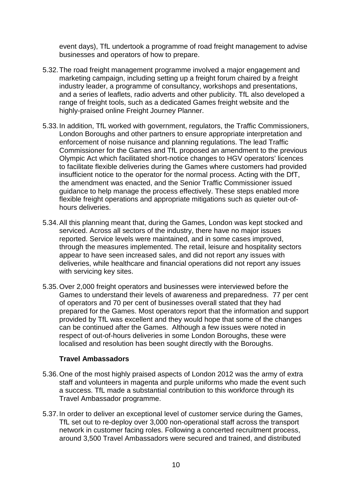event days), TfL undertook a programme of road freight management to advise businesses and operators of how to prepare.

- 5.32.The road freight management programme involved a major engagement and marketing campaign, including setting up a freight forum chaired by a freight industry leader, a programme of consultancy, workshops and presentations, and a series of leaflets, radio adverts and other publicity. TfL also developed a range of freight tools, such as a dedicated Games freight website and the highly-praised online Freight Journey Planner.
- 5.33.In addition, TfL worked with government, regulators, the Traffic Commissioners, London Boroughs and other partners to ensure appropriate interpretation and enforcement of noise nuisance and planning regulations. The lead Traffic Commissioner for the Games and TfL proposed an amendment to the previous Olympic Act which facilitated short-notice changes to HGV operators' licences to facilitate flexible deliveries during the Games where customers had provided insufficient notice to the operator for the normal process. Acting with the DfT, the amendment was enacted, and the Senior Traffic Commissioner issued guidance to help manage the process effectively. These steps enabled more flexible freight operations and appropriate mitigations such as quieter out-ofhours deliveries.
- 5.34.All this planning meant that, during the Games, London was kept stocked and serviced. Across all sectors of the industry, there have no major issues reported. Service levels were maintained, and in some cases improved, through the measures implemented. The retail, leisure and hospitality sectors appear to have seen increased sales, and did not report any issues with deliveries, while healthcare and financial operations did not report any issues with servicing key sites.
- 5.35.Over 2,000 freight operators and businesses were interviewed before the Games to understand their levels of awareness and preparedness. 77 per cent of operators and 70 per cent of businesses overall stated that they had prepared for the Games. Most operators report that the information and support provided by TfL was excellent and they would hope that some of the changes can be continued after the Games. Although a few issues were noted in respect of out-of-hours deliveries in some London Boroughs, these were localised and resolution has been sought directly with the Boroughs.

#### **Travel Ambassadors**

- 5.36.One of the most highly praised aspects of London 2012 was the army of extra staff and volunteers in magenta and purple uniforms who made the event such a success. TfL made a substantial contribution to this workforce through its Travel Ambassador programme.
- 5.37.In order to deliver an exceptional level of customer service during the Games, TfL set out to re-deploy over 3,000 non-operational staff across the transport network in customer facing roles. Following a concerted recruitment process, around 3,500 Travel Ambassadors were secured and trained, and distributed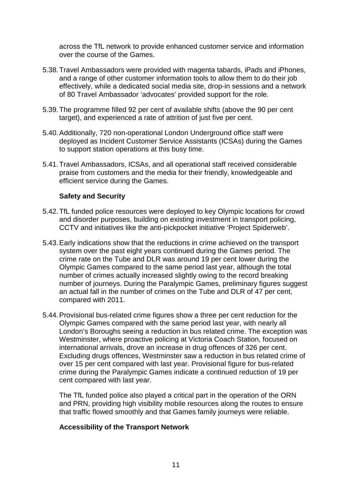across the TfL network to provide enhanced customer service and information over the course of the Games.

- 5.38.Travel Ambassadors were provided with magenta tabards, iPads and iPhones, and a range of other customer information tools to allow them to do their job effectively, while a dedicated social media site, drop-in sessions and a network of 80 Travel Ambassador 'advocates' provided support for the role.
- 5.39.The programme filled 92 per cent of available shifts (above the 90 per cent target), and experienced a rate of attrition of just five per cent.
- 5.40.Additionally, 720 non-operational London Underground office staff were deployed as Incident Customer Service Assistants (ICSAs) during the Games to support station operations at this busy time.
- 5.41.Travel Ambassadors, ICSAs, and all operational staff received considerable praise from customers and the media for their friendly, knowledgeable and efficient service during the Games.

#### **Safety and Security**

- 5.42.TfL funded police resources were deployed to key Olympic locations for crowd and disorder purposes, building on existing investment in transport policing, CCTV and initiatives like the anti-pickpocket initiative 'Project Spiderweb'.
- 5.43.Early indications show that the reductions in crime achieved on the transport system over the past eight years continued during the Games period. The crime rate on the Tube and DLR was around 19 per cent lower during the Olympic Games compared to the same period last year, although the total number of crimes actually increased slightly owing to the record breaking number of journeys. During the Paralympic Games, preliminary figures suggest an actual fall in the number of crimes on the Tube and DLR of 47 per cent, compared with 2011.
- 5.44.Provisional bus-related crime figures show a three per cent reduction for the Olympic Games compared with the same period last year, with nearly all London's Boroughs seeing a reduction in bus related crime. The exception was Westminster, where proactive policing at Victoria Coach Station, focused on international arrivals, drove an increase in drug offences of 326 per cent. Excluding drugs offences, Westminster saw a reduction in bus related crime of over 15 per cent compared with last year. Provisional figure for bus-related crime during the Paralympic Games indicate a continued reduction of 19 per cent compared with last year.

The TfL funded police also played a critical part in the operation of the ORN and PRN, providing high visibility mobile resources along the routes to ensure that traffic flowed smoothly and that Games family journeys were reliable.

#### **Accessibility of the Transport Network**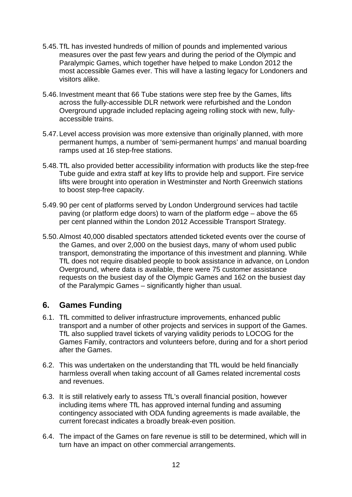- 5.45.TfL has invested hundreds of million of pounds and implemented various measures over the past few years and during the period of the Olympic and Paralympic Games, which together have helped to make London 2012 the most accessible Games ever. This will have a lasting legacy for Londoners and visitors alike.
- 5.46.Investment meant that 66 Tube stations were step free by the Games, lifts across the fully-accessible DLR network were refurbished and the London Overground upgrade included replacing ageing rolling stock with new, fullyaccessible trains.
- 5.47.Level access provision was more extensive than originally planned, with more permanent humps, a number of 'semi-permanent humps' and manual boarding ramps used at 16 step-free stations.
- 5.48.TfL also provided better accessibility information with products like the step-free Tube guide and extra staff at key lifts to provide help and support. Fire service lifts were brought into operation in Westminster and North Greenwich stations to boost step-free capacity.
- 5.49.90 per cent of platforms served by London Underground services had tactile paving (or platform edge doors) to warn of the platform edge – above the 65 per cent planned within the London 2012 Accessible Transport Strategy.
- 5.50.Almost 40,000 disabled spectators attended ticketed events over the course of the Games, and over 2,000 on the busiest days, many of whom used public transport, demonstrating the importance of this investment and planning. While TfL does not require disabled people to book assistance in advance, on London Overground, where data is available, there were 75 customer assistance requests on the busiest day of the Olympic Games and 162 on the busiest day of the Paralympic Games – significantly higher than usual.

## **6. Games Funding**

- 6.1. TfL committed to deliver infrastructure improvements, enhanced public transport and a number of other projects and services in support of the Games. TfL also supplied travel tickets of varying validity periods to LOCOG for the Games Family, contractors and volunteers before, during and for a short period after the Games.
- 6.2. This was undertaken on the understanding that TfL would be held financially harmless overall when taking account of all Games related incremental costs and revenues.
- 6.3. It is still relatively early to assess TfL's overall financial position, however including items where TfL has approved internal funding and assuming contingency associated with ODA funding agreements is made available, the current forecast indicates a broadly break-even position.
- 6.4. The impact of the Games on fare revenue is still to be determined, which will in turn have an impact on other commercial arrangements.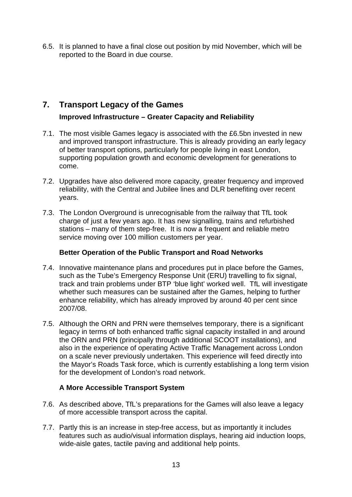6.5. It is planned to have a final close out position by mid November, which will be reported to the Board in due course.

## **7. Transport Legacy of the Games**

## **Improved Infrastructure – Greater Capacity and Reliability**

- 7.1. The most visible Games legacy is associated with the £6.5bn invested in new and improved transport infrastructure. This is already providing an early legacy of better transport options, particularly for people living in east London, supporting population growth and economic development for generations to come.
- 7.2. Upgrades have also delivered more capacity, greater frequency and improved reliability, with the Central and Jubilee lines and DLR benefiting over recent years.
- 7.3. The London Overground is unrecognisable from the railway that TfL took charge of just a few years ago. It has new signalling, trains and refurbished stations – many of them step-free. It is now a frequent and reliable metro service moving over 100 million customers per year.

### **Better Operation of the Public Transport and Road Networks**

- 7.4. Innovative maintenance plans and procedures put in place before the Games, such as the Tube's Emergency Response Unit (ERU) travelling to fix signal, track and train problems under BTP 'blue light' worked well. TfL will investigate whether such measures can be sustained after the Games, helping to further enhance reliability, which has already improved by around 40 per cent since 2007/08.
- 7.5. Although the ORN and PRN were themselves temporary, there is a significant legacy in terms of both enhanced traffic signal capacity installed in and around the ORN and PRN (principally through additional SCOOT installations), and also in the experience of operating Active Traffic Management across London on a scale never previously undertaken. This experience will feed directly into the Mayor's Roads Task force, which is currently establishing a long term vision for the development of London's road network.

## **A More Accessible Transport System**

- 7.6. As described above, TfL's preparations for the Games will also leave a legacy of more accessible transport across the capital.
- 7.7. Partly this is an increase in step-free access, but as importantly it includes features such as audio/visual information displays, hearing aid induction loops, wide-aisle gates, tactile paving and additional help points.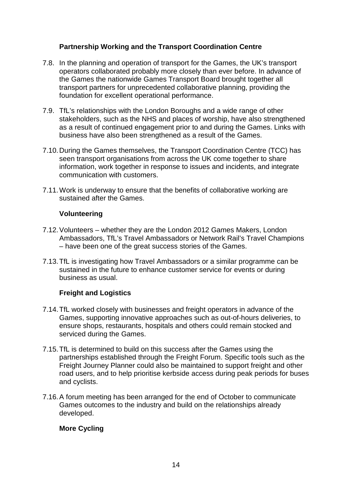### **Partnership Working and the Transport Coordination Centre**

- 7.8. In the planning and operation of transport for the Games, the UK's transport operators collaborated probably more closely than ever before. In advance of the Games the nationwide Games Transport Board brought together all transport partners for unprecedented collaborative planning, providing the foundation for excellent operational performance.
- 7.9. TfL's relationships with the London Boroughs and a wide range of other stakeholders, such as the NHS and places of worship, have also strengthened as a result of continued engagement prior to and during the Games. Links with business have also been strengthened as a result of the Games.
- 7.10.During the Games themselves, the Transport Coordination Centre (TCC) has seen transport organisations from across the UK come together to share information, work together in response to issues and incidents, and integrate communication with customers.
- 7.11.Work is underway to ensure that the benefits of collaborative working are sustained after the Games.

### **Volunteering**

- 7.12.Volunteers whether they are the London 2012 Games Makers, London Ambassadors, TfL's Travel Ambassadors or Network Rail's Travel Champions – have been one of the great success stories of the Games.
- 7.13.TfL is investigating how Travel Ambassadors or a similar programme can be sustained in the future to enhance customer service for events or during business as usual.

### **Freight and Logistics**

- 7.14.TfL worked closely with businesses and freight operators in advance of the Games, supporting innovative approaches such as out-of-hours deliveries, to ensure shops, restaurants, hospitals and others could remain stocked and serviced during the Games.
- 7.15.TfL is determined to build on this success after the Games using the partnerships established through the Freight Forum. Specific tools such as the Freight Journey Planner could also be maintained to support freight and other road users, and to help prioritise kerbside access during peak periods for buses and cyclists.
- 7.16.A forum meeting has been arranged for the end of October to communicate Games outcomes to the industry and build on the relationships already developed.

### **More Cycling**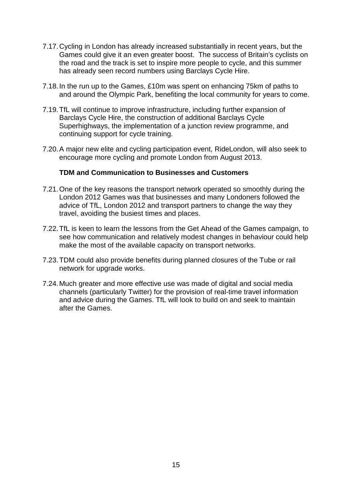- 7.17.Cycling in London has already increased substantially in recent years, but the Games could give it an even greater boost. The success of Britain's cyclists on the road and the track is set to inspire more people to cycle, and this summer has already seen record numbers using Barclays Cycle Hire.
- 7.18.In the run up to the Games, £10m was spent on enhancing 75km of paths to and around the Olympic Park, benefiting the local community for years to come.
- 7.19.TfL will continue to improve infrastructure, including further expansion of Barclays Cycle Hire, the construction of additional Barclays Cycle Superhighways, the implementation of a junction review programme, and continuing support for cycle training.
- 7.20.A major new elite and cycling participation event, RideLondon, will also seek to encourage more cycling and promote London from August 2013.

### **TDM and Communication to Businesses and Customers**

- 7.21.One of the key reasons the transport network operated so smoothly during the London 2012 Games was that businesses and many Londoners followed the advice of TfL, London 2012 and transport partners to change the way they travel, avoiding the busiest times and places.
- 7.22.TfL is keen to learn the lessons from the Get Ahead of the Games campaign, to see how communication and relatively modest changes in behaviour could help make the most of the available capacity on transport networks.
- 7.23.TDM could also provide benefits during planned closures of the Tube or rail network for upgrade works.
- 7.24.Much greater and more effective use was made of digital and social media channels (particularly Twitter) for the provision of real-time travel information and advice during the Games. TfL will look to build on and seek to maintain after the Games.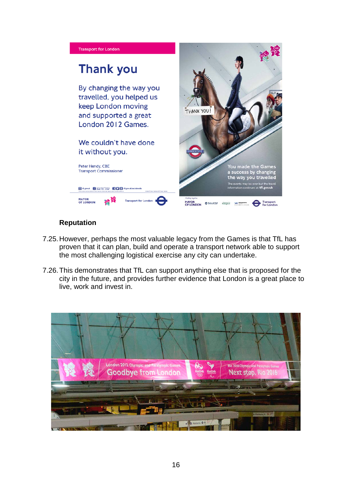

### **Reputation**

- 7.25.However, perhaps the most valuable legacy from the Games is that TfL has proven that it can plan, build and operate a transport network able to support the most challenging logistical exercise any city can undertake.
- 7.26.This demonstrates that TfL can support anything else that is proposed for the city in the future, and provides further evidence that London is a great place to live, work and invest in.